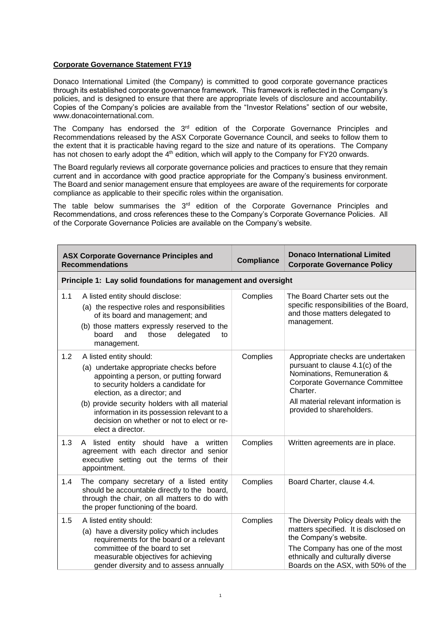## **Corporate Governance Statement FY19**

Donaco International Limited (the Company) is committed to good corporate governance practices through its established corporate governance framework. This framework is reflected in the Company's policies, and is designed to ensure that there are appropriate levels of disclosure and accountability. Copies of the Company's policies are available from the "Investor Relations" section of our website, www.donacointernational.com.

The Company has endorsed the  $3<sup>rd</sup>$  edition of the Corporate Governance Principles and Recommendations released by the ASX Corporate Governance Council, and seeks to follow them to the extent that it is practicable having regard to the size and nature of its operations. The Company has not chosen to early adopt the 4<sup>th</sup> edition, which will apply to the Company for FY20 onwards.

The Board regularly reviews all corporate governance policies and practices to ensure that they remain current and in accordance with good practice appropriate for the Company's business environment. The Board and senior management ensure that employees are aware of the requirements for corporate compliance as applicable to their specific roles within the organisation.

The table below summarises the  $3<sup>rd</sup>$  edition of the Corporate Governance Principles and Recommendations, and cross references these to the Company's Corporate Governance Policies. All of the Corporate Governance Policies are available on the Company's website.

|     | <b>ASX Corporate Governance Principles and</b><br><b>Recommendations</b>                                                                                                                                                                                                                                                                                 | <b>Compliance</b> | <b>Donaco International Limited</b><br><b>Corporate Governance Policy</b>                                                                                                                                               |
|-----|----------------------------------------------------------------------------------------------------------------------------------------------------------------------------------------------------------------------------------------------------------------------------------------------------------------------------------------------------------|-------------------|-------------------------------------------------------------------------------------------------------------------------------------------------------------------------------------------------------------------------|
|     | Principle 1: Lay solid foundations for management and oversight                                                                                                                                                                                                                                                                                          |                   |                                                                                                                                                                                                                         |
| 1.1 | A listed entity should disclose:<br>(a) the respective roles and responsibilities<br>of its board and management; and<br>(b) those matters expressly reserved to the<br>board<br>delegated<br>and<br>those<br>to<br>management.                                                                                                                          | Complies          | The Board Charter sets out the<br>specific responsibilities of the Board,<br>and those matters delegated to<br>management.                                                                                              |
| 1.2 | A listed entity should:<br>(a) undertake appropriate checks before<br>appointing a person, or putting forward<br>to security holders a candidate for<br>election, as a director; and<br>(b) provide security holders with all material<br>information in its possession relevant to a<br>decision on whether or not to elect or re-<br>elect a director. | Complies          | Appropriate checks are undertaken<br>pursuant to clause 4.1(c) of the<br>Nominations, Remuneration &<br>Corporate Governance Committee<br>Charter.<br>All material relevant information is<br>provided to shareholders. |
| 1.3 | listed entity should have a written<br>A<br>agreement with each director and senior<br>executive setting out the terms of their<br>appointment.                                                                                                                                                                                                          | Complies          | Written agreements are in place.                                                                                                                                                                                        |
| 1.4 | The company secretary of a listed entity<br>should be accountable directly to the board,<br>through the chair, on all matters to do with<br>the proper functioning of the board.                                                                                                                                                                         | Complies          | Board Charter, clause 4.4.                                                                                                                                                                                              |
| 1.5 | A listed entity should:<br>(a) have a diversity policy which includes<br>requirements for the board or a relevant<br>committee of the board to set<br>measurable objectives for achieving<br>gender diversity and to assess annually                                                                                                                     | Complies          | The Diversity Policy deals with the<br>matters specified. It is disclosed on<br>the Company's website.<br>The Company has one of the most<br>ethnically and culturally diverse<br>Boards on the ASX, with 50% of the    |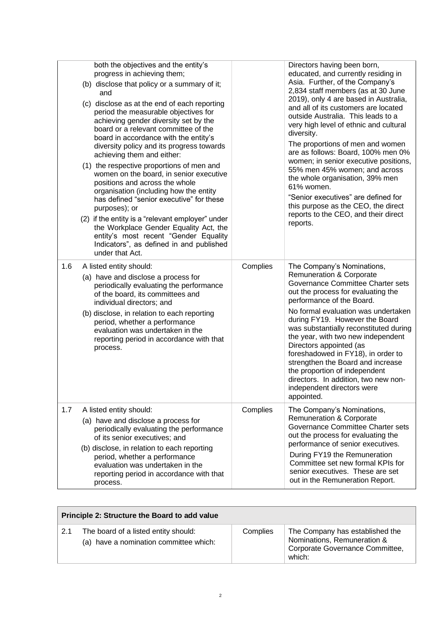|     | both the objectives and the entity's<br>progress in achieving them;<br>(b) disclose that policy or a summary of it;<br>and<br>(c) disclose as at the end of each reporting<br>period the measurable objectives for<br>achieving gender diversity set by the<br>board or a relevant committee of the<br>board in accordance with the entity's<br>diversity policy and its progress towards<br>achieving them and either:<br>(1) the respective proportions of men and<br>women on the board, in senior executive<br>positions and across the whole<br>organisation (including how the entity<br>has defined "senior executive" for these<br>purposes); or<br>(2) if the entity is a "relevant employer" under<br>the Workplace Gender Equality Act, the<br>entity's most recent "Gender Equality<br>Indicators", as defined in and published<br>under that Act. |          | Directors having been born,<br>educated, and currently residing in<br>Asia. Further, of the Company's<br>2,834 staff members (as at 30 June<br>2019), only 4 are based in Australia,<br>and all of its customers are located<br>outside Australia. This leads to a<br>very high level of ethnic and cultural<br>diversity.<br>The proportions of men and women<br>are as follows: Board, 100% men 0%<br>women; in senior executive positions,<br>55% men 45% women; and across<br>the whole organisation, 39% men<br>61% women.<br>"Senior executives" are defined for<br>this purpose as the CEO, the direct<br>reports to the CEO, and their direct<br>reports. |
|-----|----------------------------------------------------------------------------------------------------------------------------------------------------------------------------------------------------------------------------------------------------------------------------------------------------------------------------------------------------------------------------------------------------------------------------------------------------------------------------------------------------------------------------------------------------------------------------------------------------------------------------------------------------------------------------------------------------------------------------------------------------------------------------------------------------------------------------------------------------------------|----------|-------------------------------------------------------------------------------------------------------------------------------------------------------------------------------------------------------------------------------------------------------------------------------------------------------------------------------------------------------------------------------------------------------------------------------------------------------------------------------------------------------------------------------------------------------------------------------------------------------------------------------------------------------------------|
| 1.6 | A listed entity should:<br>(a) have and disclose a process for<br>periodically evaluating the performance<br>of the board, its committees and<br>individual directors; and<br>(b) disclose, in relation to each reporting<br>period, whether a performance<br>evaluation was undertaken in the<br>reporting period in accordance with that<br>process.                                                                                                                                                                                                                                                                                                                                                                                                                                                                                                         | Complies | The Company's Nominations,<br><b>Remuneration &amp; Corporate</b><br>Governance Committee Charter sets<br>out the process for evaluating the<br>performance of the Board.<br>No formal evaluation was undertaken<br>during FY19. However the Board<br>was substantially reconstituted during<br>the year, with two new independent<br>Directors appointed (as<br>foreshadowed in FY18), in order to<br>strengthen the Board and increase<br>the proportion of independent<br>directors. In addition, two new non-<br>independent directors were<br>appointed.                                                                                                     |
| 1.7 | A listed entity should:<br>(a) have and disclose a process for<br>periodically evaluating the performance<br>of its senior executives; and<br>(b) disclose, in relation to each reporting<br>period, whether a performance<br>evaluation was undertaken in the<br>reporting period in accordance with that<br>process.                                                                                                                                                                                                                                                                                                                                                                                                                                                                                                                                         | Complies | The Company's Nominations,<br><b>Remuneration &amp; Corporate</b><br>Governance Committee Charter sets<br>out the process for evaluating the<br>performance of senior executives.<br>During FY19 the Remuneration<br>Committee set new formal KPIs for<br>senior executives. These are set<br>out in the Remuneration Report.                                                                                                                                                                                                                                                                                                                                     |

| Principle 2: Structure the Board to add value |                                                                                |          |                                                                                                             |
|-----------------------------------------------|--------------------------------------------------------------------------------|----------|-------------------------------------------------------------------------------------------------------------|
| 2.1                                           | The board of a listed entity should:<br>(a) have a nomination committee which: | Complies | The Company has established the<br>Nominations, Remuneration &<br>Corporate Governance Committee,<br>which: |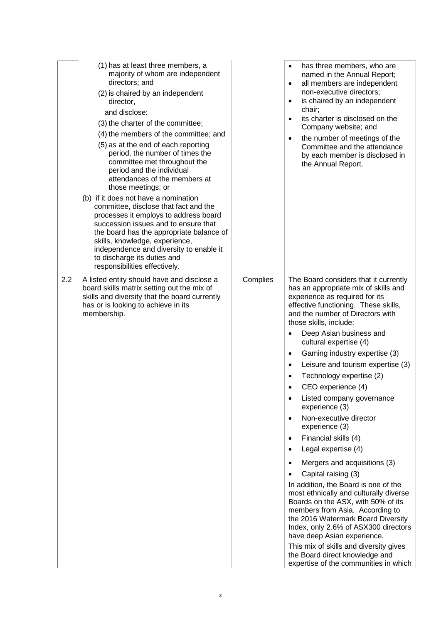| (1) has at least three members, a<br>majority of whom are independent<br>directors; and<br>(2) is chaired by an independent<br>director,<br>and disclose:<br>(3) the charter of the committee;<br>(4) the members of the committee; and<br>(5) as at the end of each reporting<br>period, the number of times the<br>committee met throughout the<br>period and the individual<br>attendances of the members at<br>those meetings; or<br>(b) if it does not have a nomination<br>committee, disclose that fact and the<br>processes it employs to address board<br>succession issues and to ensure that<br>the board has the appropriate balance of<br>skills, knowledge, experience,<br>independence and diversity to enable it<br>to discharge its duties and<br>responsibilities effectively. |          | has three members, who are<br>named in the Annual Report;<br>all members are independent<br>$\bullet$<br>non-executive directors;<br>is chaired by an independent<br>$\bullet$<br>chair;<br>its charter is disclosed on the<br>$\bullet$<br>Company website; and<br>the number of meetings of the<br>Committee and the attendance<br>by each member is disclosed in<br>the Annual Report.                                                                                                                                                                                                                                                                                                                                                                                                                                                                                                                                                                                                                                               |
|--------------------------------------------------------------------------------------------------------------------------------------------------------------------------------------------------------------------------------------------------------------------------------------------------------------------------------------------------------------------------------------------------------------------------------------------------------------------------------------------------------------------------------------------------------------------------------------------------------------------------------------------------------------------------------------------------------------------------------------------------------------------------------------------------|----------|-----------------------------------------------------------------------------------------------------------------------------------------------------------------------------------------------------------------------------------------------------------------------------------------------------------------------------------------------------------------------------------------------------------------------------------------------------------------------------------------------------------------------------------------------------------------------------------------------------------------------------------------------------------------------------------------------------------------------------------------------------------------------------------------------------------------------------------------------------------------------------------------------------------------------------------------------------------------------------------------------------------------------------------------|
| 2.2<br>A listed entity should have and disclose a<br>board skills matrix setting out the mix of<br>skills and diversity that the board currently<br>has or is looking to achieve in its<br>membership.                                                                                                                                                                                                                                                                                                                                                                                                                                                                                                                                                                                           | Complies | The Board considers that it currently<br>has an appropriate mix of skills and<br>experience as required for its<br>effective functioning. These skills,<br>and the number of Directors with<br>those skills, include:<br>Deep Asian business and<br>cultural expertise (4)<br>Gaming industry expertise (3)<br>$\bullet$<br>Leisure and tourism expertise (3)<br>Technology expertise (2)<br>CEO experience (4)<br>Listed company governance<br>experience (3)<br>Non-executive director<br>$\bullet$<br>experience (3)<br>Financial skills (4)<br>$\bullet$<br>Legal expertise (4)<br>Mergers and acquisitions (3)<br>Capital raising (3)<br>In addition, the Board is one of the<br>most ethnically and culturally diverse<br>Boards on the ASX, with 50% of its<br>members from Asia. According to<br>the 2016 Watermark Board Diversity<br>Index, only 2.6% of ASX300 directors<br>have deep Asian experience.<br>This mix of skills and diversity gives<br>the Board direct knowledge and<br>expertise of the communities in which |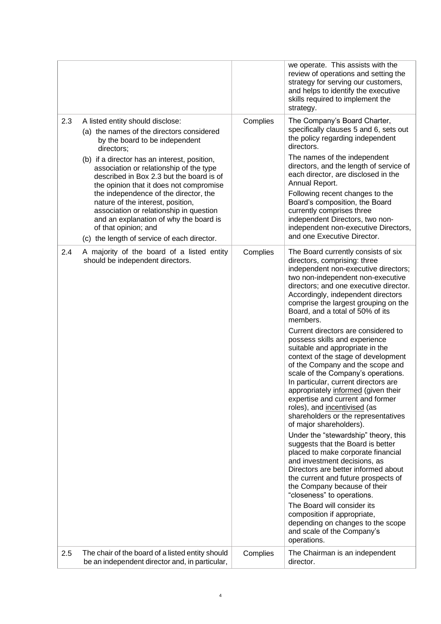|                                                                                                                                                                                                                                                                                                                                                                                                                                                                                                                                                                  |          | we operate. This assists with the<br>review of operations and setting the<br>strategy for serving our customers,<br>and helps to identify the executive<br>skills required to implement the<br>strategy.                                                                                                                                                                                                                                                                                                                                                                                                                                                                                                                                                                                                                                                                                                                                                                                                                                                                                                                                                                                                                 |
|------------------------------------------------------------------------------------------------------------------------------------------------------------------------------------------------------------------------------------------------------------------------------------------------------------------------------------------------------------------------------------------------------------------------------------------------------------------------------------------------------------------------------------------------------------------|----------|--------------------------------------------------------------------------------------------------------------------------------------------------------------------------------------------------------------------------------------------------------------------------------------------------------------------------------------------------------------------------------------------------------------------------------------------------------------------------------------------------------------------------------------------------------------------------------------------------------------------------------------------------------------------------------------------------------------------------------------------------------------------------------------------------------------------------------------------------------------------------------------------------------------------------------------------------------------------------------------------------------------------------------------------------------------------------------------------------------------------------------------------------------------------------------------------------------------------------|
| 2.3<br>A listed entity should disclose:<br>(a) the names of the directors considered<br>by the board to be independent<br>directors;<br>(b) if a director has an interest, position,<br>association or relationship of the type<br>described in Box 2.3 but the board is of<br>the opinion that it does not compromise<br>the independence of the director, the<br>nature of the interest, position,<br>association or relationship in question<br>and an explanation of why the board is<br>of that opinion; and<br>(c) the length of service of each director. | Complies | The Company's Board Charter,<br>specifically clauses 5 and 6, sets out<br>the policy regarding independent<br>directors.<br>The names of the independent<br>directors, and the length of service of<br>each director, are disclosed in the<br>Annual Report.<br>Following recent changes to the<br>Board's composition, the Board<br>currently comprises three<br>independent Directors, two non-<br>independent non-executive Directors,<br>and one Executive Director.                                                                                                                                                                                                                                                                                                                                                                                                                                                                                                                                                                                                                                                                                                                                                 |
| 2.4<br>A majority of the board of a listed entity<br>should be independent directors.                                                                                                                                                                                                                                                                                                                                                                                                                                                                            | Complies | The Board currently consists of six<br>directors, comprising: three<br>independent non-executive directors;<br>two non-independent non-executive<br>directors; and one executive director.<br>Accordingly, independent directors<br>comprise the largest grouping on the<br>Board, and a total of 50% of its<br>members.<br>Current directors are considered to<br>possess skills and experience<br>suitable and appropriate in the<br>context of the stage of development<br>of the Company and the scope and<br>scale of the Company's operations.<br>In particular, current directors are<br>appropriately informed (given their<br>expertise and current and former<br>roles), and incentivised (as<br>shareholders or the representatives<br>of major shareholders).<br>Under the "stewardship" theory, this<br>suggests that the Board is better<br>placed to make corporate financial<br>and investment decisions, as<br>Directors are better informed about<br>the current and future prospects of<br>the Company because of their<br>"closeness" to operations.<br>The Board will consider its<br>composition if appropriate,<br>depending on changes to the scope<br>and scale of the Company's<br>operations. |
| The chair of the board of a listed entity should<br>2.5<br>be an independent director and, in particular,                                                                                                                                                                                                                                                                                                                                                                                                                                                        | Complies | The Chairman is an independent<br>director.                                                                                                                                                                                                                                                                                                                                                                                                                                                                                                                                                                                                                                                                                                                                                                                                                                                                                                                                                                                                                                                                                                                                                                              |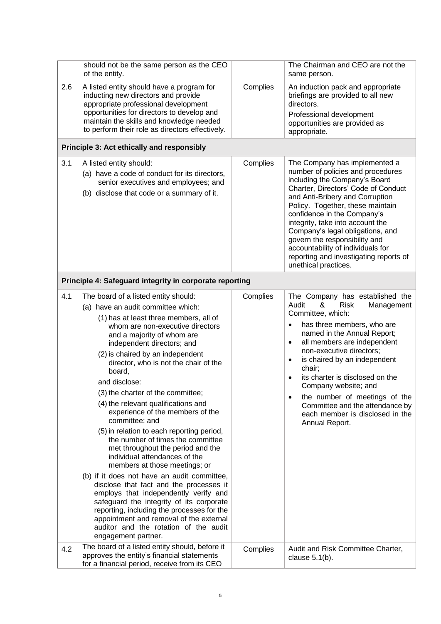|     | should not be the same person as the CEO<br>of the entity.                                                                                                                                                                                                                                                                                                                                                                                                                                                                                                                                                                                                                                                                                                                                                                                                                                                                                                                                      |          | The Chairman and CEO are not the<br>same person.                                                                                                                                                                                                                                                                                                                                                                                                                                          |
|-----|-------------------------------------------------------------------------------------------------------------------------------------------------------------------------------------------------------------------------------------------------------------------------------------------------------------------------------------------------------------------------------------------------------------------------------------------------------------------------------------------------------------------------------------------------------------------------------------------------------------------------------------------------------------------------------------------------------------------------------------------------------------------------------------------------------------------------------------------------------------------------------------------------------------------------------------------------------------------------------------------------|----------|-------------------------------------------------------------------------------------------------------------------------------------------------------------------------------------------------------------------------------------------------------------------------------------------------------------------------------------------------------------------------------------------------------------------------------------------------------------------------------------------|
| 2.6 | A listed entity should have a program for<br>inducting new directors and provide<br>appropriate professional development<br>opportunities for directors to develop and<br>maintain the skills and knowledge needed<br>to perform their role as directors effectively.                                                                                                                                                                                                                                                                                                                                                                                                                                                                                                                                                                                                                                                                                                                           | Complies | An induction pack and appropriate<br>briefings are provided to all new<br>directors.<br>Professional development<br>opportunities are provided as<br>appropriate.                                                                                                                                                                                                                                                                                                                         |
|     | Principle 3: Act ethically and responsibly                                                                                                                                                                                                                                                                                                                                                                                                                                                                                                                                                                                                                                                                                                                                                                                                                                                                                                                                                      |          |                                                                                                                                                                                                                                                                                                                                                                                                                                                                                           |
| 3.1 | A listed entity should:<br>(a) have a code of conduct for its directors,<br>senior executives and employees; and<br>(b) disclose that code or a summary of it.                                                                                                                                                                                                                                                                                                                                                                                                                                                                                                                                                                                                                                                                                                                                                                                                                                  | Complies | The Company has implemented a<br>number of policies and procedures<br>including the Company's Board<br>Charter, Directors' Code of Conduct<br>and Anti-Bribery and Corruption<br>Policy. Together, these maintain<br>confidence in the Company's<br>integrity, take into account the<br>Company's legal obligations, and<br>govern the responsibility and<br>accountability of individuals for<br>reporting and investigating reports of<br>unethical practices.                          |
|     | Principle 4: Safeguard integrity in corporate reporting                                                                                                                                                                                                                                                                                                                                                                                                                                                                                                                                                                                                                                                                                                                                                                                                                                                                                                                                         |          |                                                                                                                                                                                                                                                                                                                                                                                                                                                                                           |
| 4.1 | The board of a listed entity should:<br>(a) have an audit committee which:<br>(1) has at least three members, all of<br>whom are non-executive directors<br>and a majority of whom are<br>independent directors; and<br>(2) is chaired by an independent<br>director, who is not the chair of the<br>board,<br>and disclose:<br>(3) the charter of the committee;<br>(4) the relevant qualifications and<br>experience of the members of the<br>committee; and<br>(5) in relation to each reporting period,<br>the number of times the committee<br>met throughout the period and the<br>individual attendances of the<br>members at those meetings; or<br>(b) if it does not have an audit committee,<br>disclose that fact and the processes it<br>employs that independently verify and<br>safeguard the integrity of its corporate<br>reporting, including the processes for the<br>appointment and removal of the external<br>auditor and the rotation of the audit<br>engagement partner. | Complies | The Company has established the<br>&<br><b>Risk</b><br>Audit<br>Management<br>Committee, which:<br>has three members, who are<br>$\bullet$<br>named in the Annual Report;<br>all members are independent<br>$\bullet$<br>non-executive directors;<br>is chaired by an independent<br>٠<br>chair;<br>its charter is disclosed on the<br>Company website; and<br>the number of meetings of the<br>٠<br>Committee and the attendance by<br>each member is disclosed in the<br>Annual Report. |
| 4.2 | The board of a listed entity should, before it<br>approves the entity's financial statements<br>for a financial period, receive from its CEO                                                                                                                                                                                                                                                                                                                                                                                                                                                                                                                                                                                                                                                                                                                                                                                                                                                    | Complies | Audit and Risk Committee Charter,<br>clause $5.1(b)$ .                                                                                                                                                                                                                                                                                                                                                                                                                                    |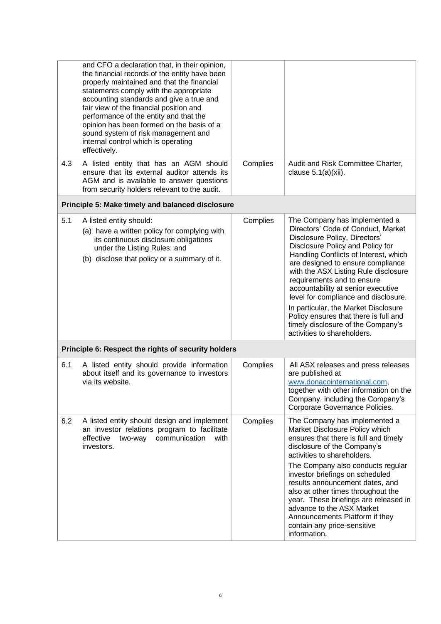|     | and CFO a declaration that, in their opinion,<br>the financial records of the entity have been<br>properly maintained and that the financial<br>statements comply with the appropriate<br>accounting standards and give a true and<br>fair view of the financial position and<br>performance of the entity and that the<br>opinion has been formed on the basis of a<br>sound system of risk management and<br>internal control which is operating<br>effectively. |          |                                                                                                                                                                                                                                                                                                                                                                                                                                                                                                                                  |
|-----|--------------------------------------------------------------------------------------------------------------------------------------------------------------------------------------------------------------------------------------------------------------------------------------------------------------------------------------------------------------------------------------------------------------------------------------------------------------------|----------|----------------------------------------------------------------------------------------------------------------------------------------------------------------------------------------------------------------------------------------------------------------------------------------------------------------------------------------------------------------------------------------------------------------------------------------------------------------------------------------------------------------------------------|
| 4.3 | A listed entity that has an AGM should<br>ensure that its external auditor attends its<br>AGM and is available to answer questions<br>from security holders relevant to the audit.                                                                                                                                                                                                                                                                                 | Complies | Audit and Risk Committee Charter,<br>clause $5.1(a)(xii)$ .                                                                                                                                                                                                                                                                                                                                                                                                                                                                      |
|     | Principle 5: Make timely and balanced disclosure                                                                                                                                                                                                                                                                                                                                                                                                                   |          |                                                                                                                                                                                                                                                                                                                                                                                                                                                                                                                                  |
| 5.1 | A listed entity should:<br>(a) have a written policy for complying with<br>its continuous disclosure obligations<br>under the Listing Rules; and<br>(b) disclose that policy or a summary of it.                                                                                                                                                                                                                                                                   | Complies | The Company has implemented a<br>Directors' Code of Conduct, Market<br>Disclosure Policy, Directors'<br>Disclosure Policy and Policy for<br>Handling Conflicts of Interest, which<br>are designed to ensure compliance<br>with the ASX Listing Rule disclosure<br>requirements and to ensure<br>accountability at senior executive<br>level for compliance and disclosure.<br>In particular, the Market Disclosure<br>Policy ensures that there is full and<br>timely disclosure of the Company's<br>activities to shareholders. |
|     | Principle 6: Respect the rights of security holders                                                                                                                                                                                                                                                                                                                                                                                                                |          |                                                                                                                                                                                                                                                                                                                                                                                                                                                                                                                                  |
| 6.1 | A listed entity should provide information<br>about itself and its governance to investors<br>via its website.                                                                                                                                                                                                                                                                                                                                                     | Complies | All ASX releases and press releases<br>are published at<br>www.donacointernational.com,<br>together with other information on the<br>Company, including the Company's<br>Corporate Governance Policies.                                                                                                                                                                                                                                                                                                                          |
| 6.2 | A listed entity should design and implement<br>an investor relations program to facilitate<br>effective<br>communication<br>two-way<br>with<br>investors.                                                                                                                                                                                                                                                                                                          | Complies | The Company has implemented a<br>Market Disclosure Policy which<br>ensures that there is full and timely<br>disclosure of the Company's<br>activities to shareholders.<br>The Company also conducts regular<br>investor briefings on scheduled<br>results announcement dates, and<br>also at other times throughout the<br>year. These briefings are released in<br>advance to the ASX Market<br>Announcements Platform if they<br>contain any price-sensitive<br>information.                                                   |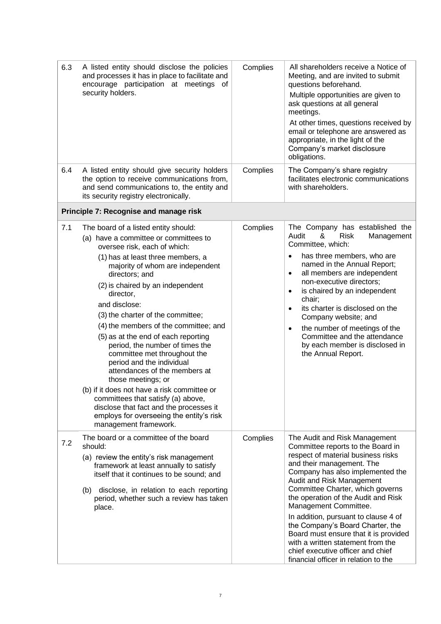| 6.3 | A listed entity should disclose the policies<br>and processes it has in place to facilitate and<br>encourage participation at meetings of<br>security holders.                                                                                                                                                                                                                                                                                                                                                                                                                                                                                                                                                                                              | Complies | All shareholders receive a Notice of<br>Meeting, and are invited to submit<br>questions beforehand.<br>Multiple opportunities are given to<br>ask questions at all general<br>meetings.<br>At other times, questions received by<br>email or telephone are answered as<br>appropriate, in the light of the<br>Company's market disclosure<br>obligations.                                                                                                                                                                                         |
|-----|-------------------------------------------------------------------------------------------------------------------------------------------------------------------------------------------------------------------------------------------------------------------------------------------------------------------------------------------------------------------------------------------------------------------------------------------------------------------------------------------------------------------------------------------------------------------------------------------------------------------------------------------------------------------------------------------------------------------------------------------------------------|----------|---------------------------------------------------------------------------------------------------------------------------------------------------------------------------------------------------------------------------------------------------------------------------------------------------------------------------------------------------------------------------------------------------------------------------------------------------------------------------------------------------------------------------------------------------|
| 6.4 | A listed entity should give security holders<br>the option to receive communications from,<br>and send communications to, the entity and<br>its security registry electronically.                                                                                                                                                                                                                                                                                                                                                                                                                                                                                                                                                                           | Complies | The Company's share registry<br>facilitates electronic communications<br>with shareholders.                                                                                                                                                                                                                                                                                                                                                                                                                                                       |
|     | Principle 7: Recognise and manage risk                                                                                                                                                                                                                                                                                                                                                                                                                                                                                                                                                                                                                                                                                                                      |          |                                                                                                                                                                                                                                                                                                                                                                                                                                                                                                                                                   |
| 7.1 | The board of a listed entity should:<br>(a) have a committee or committees to<br>oversee risk, each of which:<br>(1) has at least three members, a<br>majority of whom are independent<br>directors; and<br>(2) is chaired by an independent<br>director,<br>and disclose:<br>(3) the charter of the committee;<br>(4) the members of the committee; and<br>(5) as at the end of each reporting<br>period, the number of times the<br>committee met throughout the<br>period and the individual<br>attendances of the members at<br>those meetings; or<br>(b) if it does not have a risk committee or<br>committees that satisfy (a) above,<br>disclose that fact and the processes it<br>employs for overseeing the entity's risk<br>management framework. | Complies | The Company has established the<br>Audit<br>&<br><b>Risk</b><br>Management<br>Committee, which:<br>has three members, who are<br>$\bullet$<br>named in the Annual Report;<br>all members are independent<br>$\bullet$<br>non-executive directors;<br>is chaired by an independent<br>$\bullet$<br>chair;<br>its charter is disclosed on the<br>$\bullet$<br>Company website; and<br>the number of meetings of the<br>$\bullet$<br>Committee and the attendance<br>by each member is disclosed in<br>the Annual Report.                            |
| 7.2 | The board or a committee of the board<br>should:<br>(a) review the entity's risk management<br>framework at least annually to satisfy<br>itself that it continues to be sound; and<br>disclose, in relation to each reporting<br>(b)<br>period, whether such a review has taken<br>place.                                                                                                                                                                                                                                                                                                                                                                                                                                                                   | Complies | The Audit and Risk Management<br>Committee reports to the Board in<br>respect of material business risks<br>and their management. The<br>Company has also implemented the<br>Audit and Risk Management<br>Committee Charter, which governs<br>the operation of the Audit and Risk<br>Management Committee.<br>In addition, pursuant to clause 4 of<br>the Company's Board Charter, the<br>Board must ensure that it is provided<br>with a written statement from the<br>chief executive officer and chief<br>financial officer in relation to the |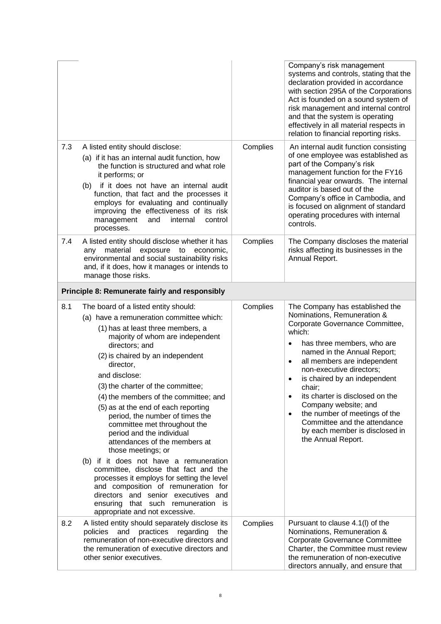|     |                                                                                                                                                                                                                                                                                                                                                                                                                                                                                                                                                                                                                                                                                                                                                                                                                  |          | Company's risk management<br>systems and controls, stating that the<br>declaration provided in accordance<br>with section 295A of the Corporations<br>Act is founded on a sound system of<br>risk management and internal control<br>and that the system is operating<br>effectively in all material respects in<br>relation to financial reporting risks.                                                                                                                                                         |
|-----|------------------------------------------------------------------------------------------------------------------------------------------------------------------------------------------------------------------------------------------------------------------------------------------------------------------------------------------------------------------------------------------------------------------------------------------------------------------------------------------------------------------------------------------------------------------------------------------------------------------------------------------------------------------------------------------------------------------------------------------------------------------------------------------------------------------|----------|--------------------------------------------------------------------------------------------------------------------------------------------------------------------------------------------------------------------------------------------------------------------------------------------------------------------------------------------------------------------------------------------------------------------------------------------------------------------------------------------------------------------|
| 7.3 | A listed entity should disclose:<br>(a) if it has an internal audit function, how<br>the function is structured and what role<br>it performs; or<br>(b) if it does not have an internal audit<br>function, that fact and the processes it<br>employs for evaluating and continually<br>improving the effectiveness of its risk<br>management<br>and<br>internal<br>control<br>processes.                                                                                                                                                                                                                                                                                                                                                                                                                         | Complies | An internal audit function consisting<br>of one employee was established as<br>part of the Company's risk<br>management function for the FY16<br>financial year onwards. The internal<br>auditor is based out of the<br>Company's office in Cambodia, and<br>is focused on alignment of standard<br>operating procedures with internal<br>controls.                                                                                                                                                                |
| 7.4 | A listed entity should disclose whether it has<br>any material<br>exposure<br>to<br>economic,<br>environmental and social sustainability risks<br>and, if it does, how it manages or intends to<br>manage those risks.                                                                                                                                                                                                                                                                                                                                                                                                                                                                                                                                                                                           | Complies | The Company discloses the material<br>risks affecting its businesses in the<br>Annual Report.                                                                                                                                                                                                                                                                                                                                                                                                                      |
|     | Principle 8: Remunerate fairly and responsibly                                                                                                                                                                                                                                                                                                                                                                                                                                                                                                                                                                                                                                                                                                                                                                   |          |                                                                                                                                                                                                                                                                                                                                                                                                                                                                                                                    |
| 8.1 | The board of a listed entity should:<br>(a) have a remuneration committee which:<br>(1) has at least three members, a<br>majority of whom are independent<br>directors; and<br>(2) is chaired by an independent<br>director,<br>and disclose:<br>(3) the charter of the committee;<br>(4) the members of the committee; and<br>(5) as at the end of each reporting<br>period, the number of times the<br>committee met throughout the<br>period and the individual<br>attendances of the members at<br>those meetings; or<br>(b) if it does not have a remuneration<br>committee, disclose that fact and the<br>processes it employs for setting the level<br>and composition of remuneration for<br>directors and senior executives and<br>ensuring that such remuneration is<br>appropriate and not excessive. | Complies | The Company has established the<br>Nominations, Remuneration &<br>Corporate Governance Committee,<br>which:<br>has three members, who are<br>٠<br>named in the Annual Report;<br>all members are independent<br>$\bullet$<br>non-executive directors;<br>is chaired by an independent<br>٠<br>chair;<br>its charter is disclosed on the<br>$\bullet$<br>Company website; and<br>the number of meetings of the<br>$\bullet$<br>Committee and the attendance<br>by each member is disclosed in<br>the Annual Report. |
| 8.2 | A listed entity should separately disclose its<br>policies<br>and<br>practices regarding<br>the<br>remuneration of non-executive directors and<br>the remuneration of executive directors and<br>other senior executives.                                                                                                                                                                                                                                                                                                                                                                                                                                                                                                                                                                                        | Complies | Pursuant to clause 4.1(I) of the<br>Nominations, Remuneration &<br><b>Corporate Governance Committee</b><br>Charter, the Committee must review<br>the remuneration of non-executive<br>directors annually, and ensure that                                                                                                                                                                                                                                                                                         |